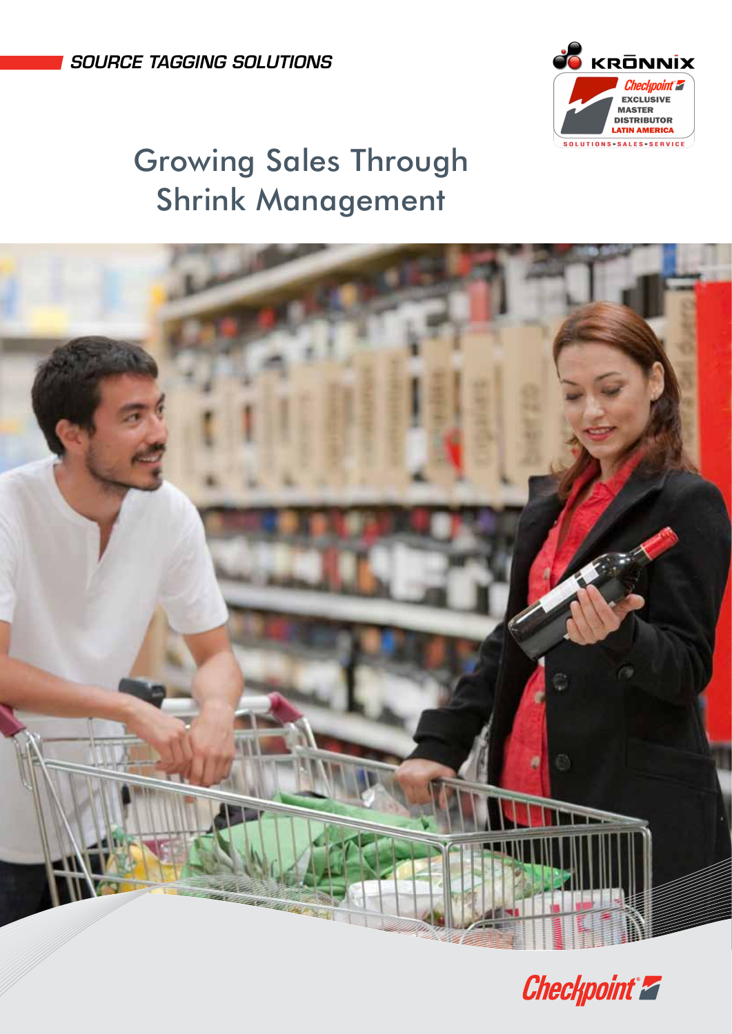source tagging SOLUTIONS



# Growing Sales Through Shrink Management



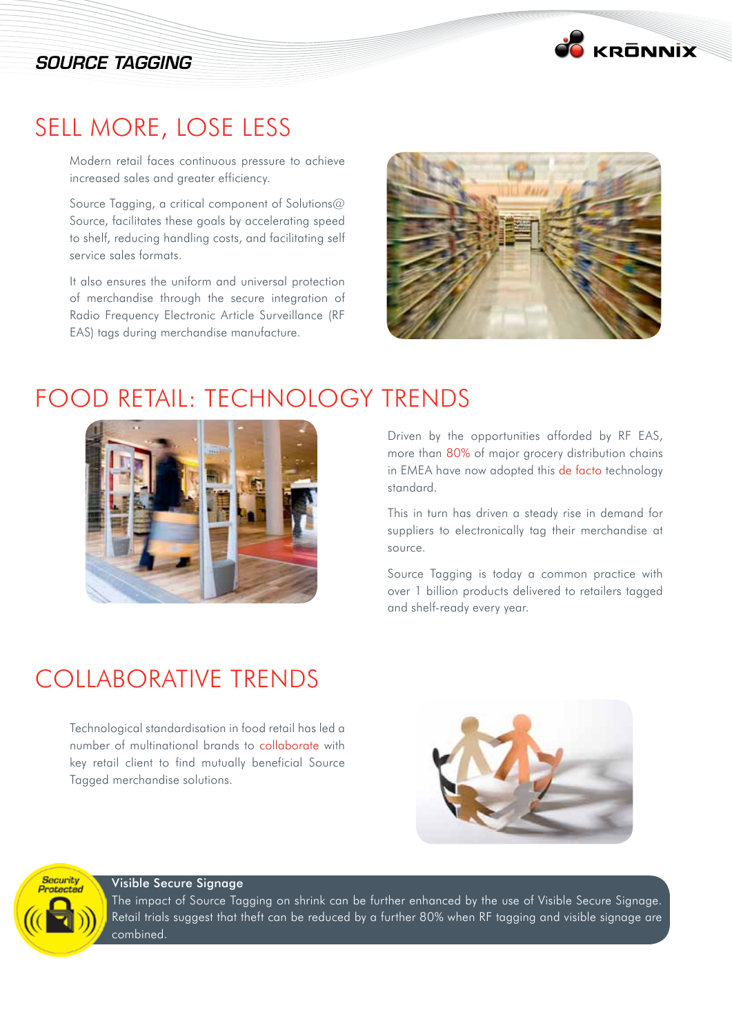#### SOURCE TAGGING



#### Sell more, lose less

Modern retail faces continuous pressure to achieve increased sales and greater efficiency.

Source Tagging, a critical component of Solutions@ Source, facilitates these goals by accelerating speed to shelf, reducing handling costs, and facilitating self service sales formats.

It also ensures the uniform and universal protection of merchandise through the secure integration of Radio Frequency Electronic Article Surveillance (RF EAS) tags during merchandise manufacture.



#### FOOD RETAIL: TECHNOLOGY TRENDS



Driven by the opportunities afforded by RF EAS, more than 80% of major grocery distribution chains in EMEA have now adopted this de facto technology standard.

This in turn has driven a steady rise in demand for suppliers to electronically tag their merchandise at source.

Source Tagging is today a common practice with over 1 billion products delivered to retailers tagged and shelf-ready every year.

# COLLABORATIVE TRENDS

Technological standardisation in food retail has led a number of multinational brands to collaborate with key retail client to find mutually beneficial Source Tagged merchandise solutions.



Visible Secure Signage

Security Protected

The impact of Source Tagging on shrink can be further enhanced by the use of Visible Secure Signage. Retail trials suggest that theft can be reduced by a further 80% when RF tagging and visible signage are combined.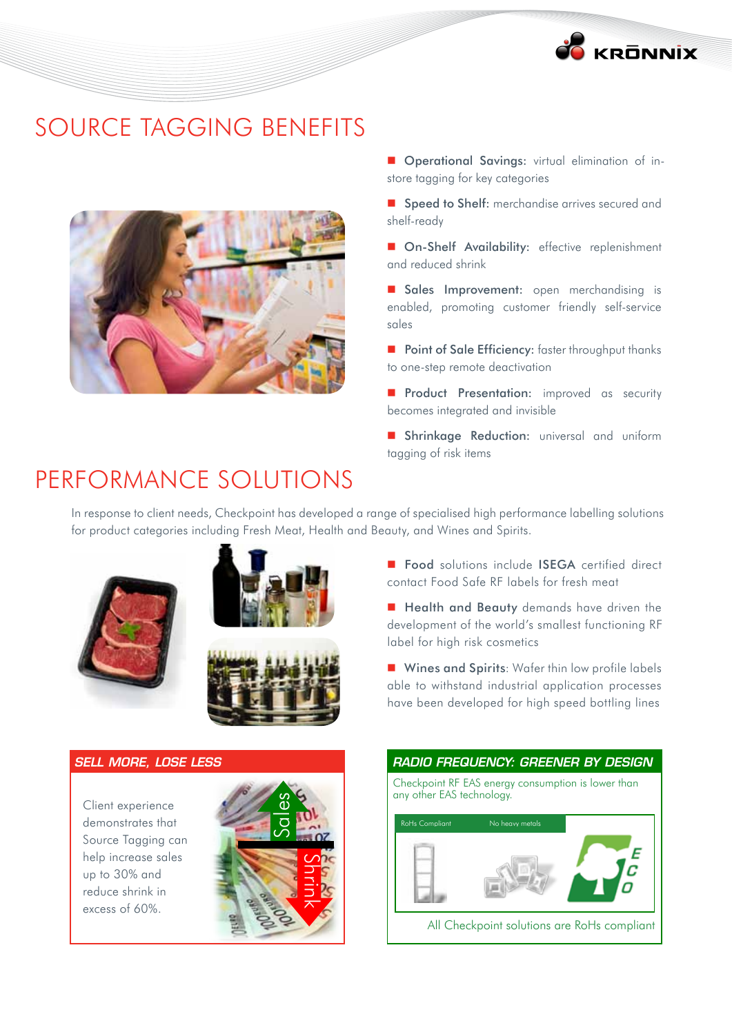

#### SOURCE TAGGING BENEFITS



- **Derational Savings:** virtual elimination of instore tagging for key categories
- **Speed to Shelf:** merchandise arrives secured and shelf-ready
- **On-Shelf Availability:** effective replenishment and reduced shrink
- Sales Improvement: open merchandising is enabled, promoting customer friendly self-service sales
- Point of Sale Efficiency: faster throughput thanks to one-step remote deactivation
- **Product Presentation:** improved as security becomes integrated and invisible
- **Shrinkage Reduction:** universal and uniform tagging of risk items

## PERFORMANCE SOLUTIONS

In response to client needs, Checkpoint has developed a range of specialised high performance labelling solutions for product categories including Fresh Meat, Health and Beauty, and Wines and Spirits.





#### *SELL MORE, LOSE LESS*

Client experience demonstrates that Source Tagging can help increase sales up to 30% and reduce shrink in excess of 60%.



- **Food** solutions include **ISEGA** certified direct contact Food Safe RF labels for fresh meat
- **Health and Beauty** demands have driven the development of the world's smallest functioning RF label for high risk cosmetics
- **Wines and Spirits:** Wafer thin low profile labels able to withstand industrial application processes have been developed for high speed bottling lines